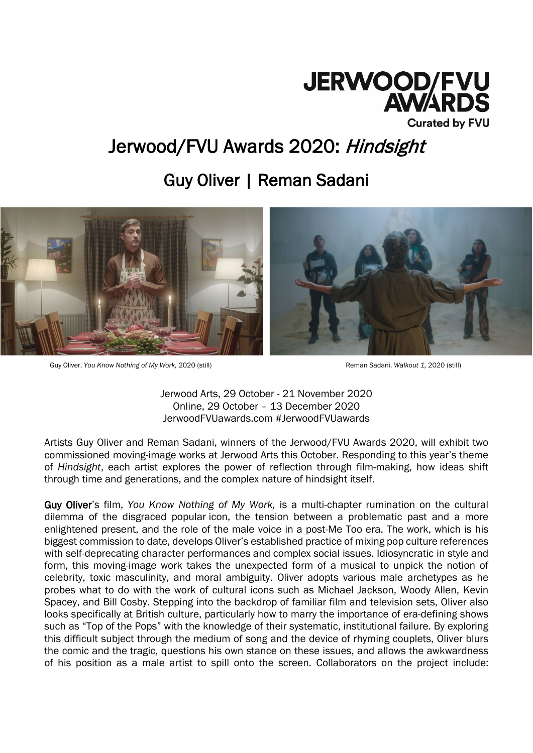

# Jerwood/FVU Awards 2020: Hindsight

# Guy Oliver | Reman Sadani



Guy Oliver, *You Know Nothing of My Work,* 2020 (still) Reman Sadani, *Walkout 1,* 2020 (still)

Jerwood Arts, 29 October - 21 November 2020 Online, 29 October – 13 December 2020 JerwoodFVUawards.com #JerwoodFVUawards

Artists Guy Oliver and Reman Sadani, winners of the Jerwood/FVU Awards 2020, will exhibit two commissioned moving-image works at Jerwood Arts this October. Responding to this year's theme of *Hindsight*, each artist explores the power of reflection through film-making, how ideas shift through time and generations, and the complex nature of hindsight itself.

Guy Oliver's film, *You Know Nothing of My Work,* is a multi-chapter rumination on the cultural dilemma of the disgraced popular icon, the tension between a problematic past and a more enlightened present, and the role of the male voice in a post-Me Too era. The work, which is his biggest commission to date, develops Oliver's established practice of mixing pop culture references with self-deprecating character performances and complex social issues. Idiosyncratic in style and form, this moving-image work takes the unexpected form of a musical to unpick the notion of celebrity, toxic masculinity, and moral ambiguity. Oliver adopts various male archetypes as he probes what to do with the work of cultural icons such as Michael Jackson, Woody Allen, Kevin Spacey, and Bill Cosby. Stepping into the backdrop of familiar film and television sets, Oliver also looks specifically at British culture, particularly how to marry the importance of era-defining shows such as "Top of the Pops" with the knowledge of their systematic, institutional failure. By exploring this difficult subject through the medium of song and the device of rhyming couplets, Oliver blurs the comic and the tragic, questions his own stance on these issues, and allows the awkwardness of his position as a male artist to spill onto the screen. Collaborators on the project include: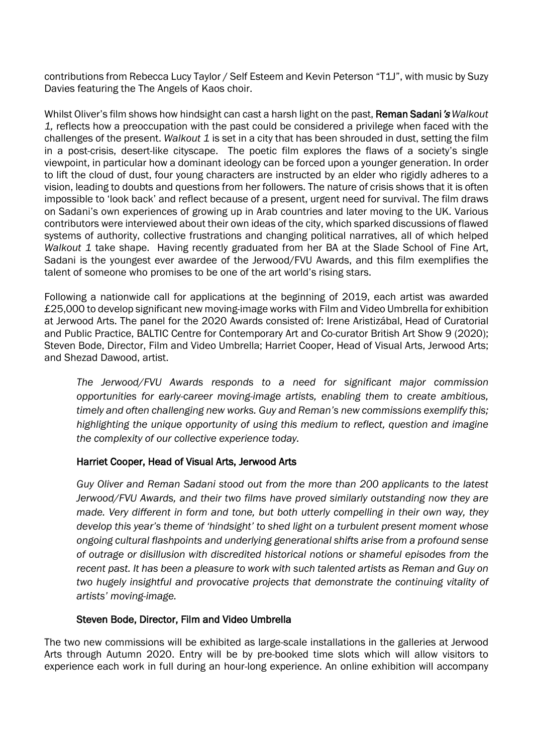contributions from Rebecca Lucy Taylor / Self Esteem and Kevin Peterson "T1J", with music by Suzy Davies featuring the The Angels of Kaos choir.

Whilst Oliver's film shows how hindsight can cast a harsh light on the past, **Reman Sadani's** *Walkout 1,* reflects how a preoccupation with the past could be considered a privilege when faced with the challenges of the present. *Walkout 1* is set in a city that has been shrouded in dust, setting the film in a post-crisis, desert-like cityscape. The poetic film explores the flaws of a society's single viewpoint, in particular how a dominant ideology can be forced upon a younger generation. In order to lift the cloud of dust, four young characters are instructed by an elder who rigidly adheres to a vision, leading to doubts and questions from her followers. The nature of crisis shows that it is often impossible to 'look back' and reflect because of a present, urgent need for survival. The film draws on Sadani's own experiences of growing up in Arab countries and later moving to the UK. Various contributors were interviewed about their own ideas of the city, which sparked discussions of flawed systems of authority, collective frustrations and changing political narratives, all of which helped *Walkout 1* take shape. Having recently graduated from her BA at the Slade School of Fine Art, Sadani is the youngest ever awardee of the Jerwood/FVU Awards, and this film exemplifies the talent of someone who promises to be one of the art world's rising stars.

Following a nationwide call for applications at the beginning of 2019, each artist was awarded £25,000 to develop significant new moving-image works with Film and Video Umbrella for exhibition at Jerwood Arts. The panel for the 2020 Awards consisted of: Irene Aristizábal, Head of Curatorial and Public Practice, BALTIC Centre for Contemporary Art and Co-curator British Art Show 9 (2020); Steven Bode, Director, Film and Video Umbrella; Harriet Cooper, Head of Visual Arts, Jerwood Arts; and Shezad Dawood, artist.

*The Jerwood/FVU Awards responds to a need for significant major commission opportunities for early-career moving-image artists, enabling them to create ambitious, timely and often challenging new works. Guy and Reman's new commissions exemplify this; highlighting the unique opportunity of using this medium to reflect, question and imagine the complexity of our collective experience today.*

# Harriet Cooper, Head of Visual Arts, Jerwood Arts

*Guy Oliver and Reman Sadani stood out from the more than 200 applicants to the latest Jerwood/FVU Awards, and their two films have proved similarly outstanding now they are made. Very different in form and tone, but both utterly compelling in their own way, they develop this year's theme of 'hindsight' to shed light on a turbulent present moment whose ongoing cultural flashpoints and underlying generational shifts arise from a profound sense of outrage or disillusion with discredited historical notions or shameful episodes from the recent past. It has been a pleasure to work with such talented artists as Reman and Guy on two hugely insightful and provocative projects that demonstrate the continuing vitality of artists' moving-image.*

# Steven Bode, Director, Film and Video Umbrella

The two new commissions will be exhibited as large-scale installations in the galleries at Jerwood Arts through Autumn 2020. Entry will be by pre-booked time slots which will allow visitors to experience each work in full during an hour-long experience. An online exhibition will accompany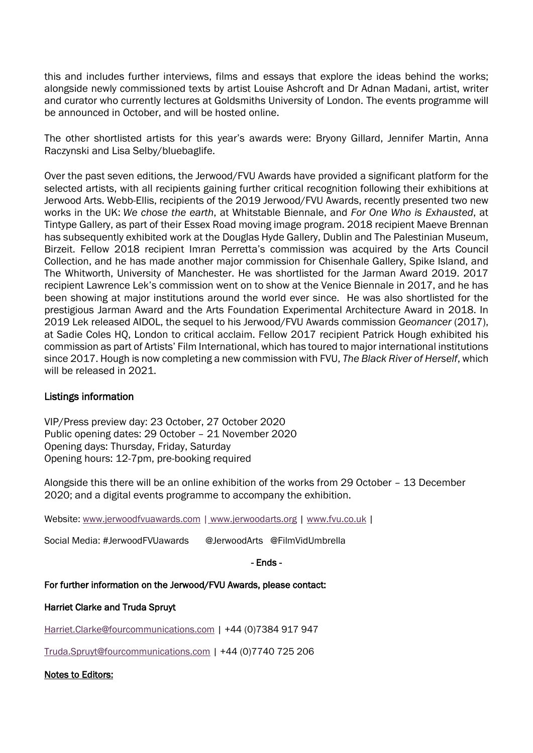this and includes further interviews, films and essays that explore the ideas behind the works; alongside newly commissioned texts by artist Louise Ashcroft and Dr Adnan Madani, artist, writer and curator who currently lectures at Goldsmiths University of London. The events programme will be announced in October, and will be hosted online.

The other shortlisted artists for this year's awards were: Bryony Gillard, Jennifer Martin, Anna Raczynski and Lisa Selby/bluebaglife.

Over the past seven editions, the Jerwood/FVU Awards have provided a significant platform for the selected artists, with all recipients gaining further critical recognition following their exhibitions at Jerwood Arts. Webb-Ellis, recipients of the 2019 Jerwood/FVU Awards, recently presented two new works in the UK: *We chose the earth*, at Whitstable Biennale, and *For One Who is Exhausted*, at Tintype Gallery, as part of their Essex Road moving image program. 2018 recipient Maeve Brennan has subsequently exhibited work at the Douglas Hyde Gallery, Dublin and The Palestinian Museum, Birzeit. Fellow 2018 recipient Imran Perretta's commission was acquired by the Arts Council Collection, and he has made another major commission for Chisenhale Gallery, Spike Island, and The Whitworth, University of Manchester. He was shortlisted for the Jarman Award 2019. 2017 recipient Lawrence Lek's commission went on to show at the Venice Biennale in 2017, and he has been showing at major institutions around the world ever since. He was also shortlisted for the prestigious Jarman Award and the Arts Foundation Experimental Architecture Award in 2018. In 2019 Lek released AIDOL, the sequel to his Jerwood/FVU Awards commission *Geomancer* (2017), at Sadie Coles HQ, London to critical acclaim. Fellow 2017 recipient Patrick Hough exhibited his commission as part of Artists' Film International, which has toured to major international institutions since 2017. Hough is now completing a new commission with FVU, *The Black River of Herself*, which will be released in 2021.

# Listings information

VIP/Press preview day: 23 October, 27 October 2020 Public opening dates: 29 October – 21 November 2020 Opening days: Thursday, Friday, Saturday Opening hours: 12-7pm, pre-booking required

Alongside this there will be an online exhibition of the works from 29 October – 13 December 2020; and a digital events programme to accompany the exhibition.

Website: [www.jerwoodfvuawards.com](http://www.jerwoodfvuawards.com/) | [www.jerwoodarts.org](http://www.jerwoodarts.org/) | [www.fvu.co.uk](http://www.fvu.co.uk/) |

Social Media: #JerwoodFVUawards @JerwoodArts @FilmVidUmbrella

- Ends -

For further information on the Jerwood/FVU Awards, please contact:

#### Harriet Clarke and Truda Spruyt

[Harriet.Clarke@fourcommunications.com](mailto:Harriet.Clarke@fourcommunications.com) | +44 (0)7384 917 947

[Truda.Spruyt@fourcommunications.com](mailto:Truda.Spruyt@fourcommunications.com) | +44 (0)7740 725 206

Notes to Editors: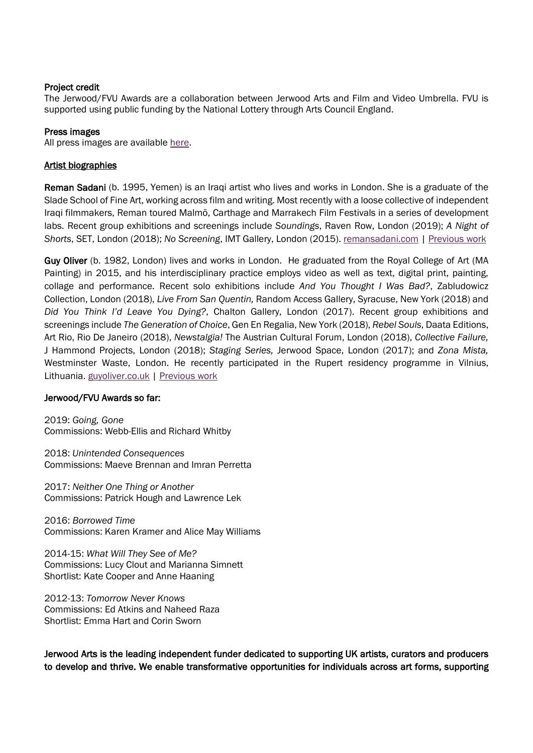#### Project credit

The Jerwood/FVU Awards are a collaboration between Jerwood Arts and Film and Video Umbrella. FVU is supported using public funding by the National Lottery through Arts Council England.

#### Press images

All press images are available [here.](https://www.dropbox.com/sh/rr27u8q1rfjxrcz/AABkZeJvCxW_WpHzMU7Oy5dwa?dl=0)

#### Artist biographies

Reman Sadani (b. 1995, Yemen) is an Iraqi artist who lives and works in London. She is a graduate of the Slade School of Fine Art, working across film and writing. Most recently with a loose collective of independent Iraqi filmmakers, Reman toured Malmö, Carthage and Marrakech Film Festivals in a series of development labs. Recent group exhibitions and screenings include *Soundings*, Raven Row, London (2019); *A Night of Shorts*, SET, London (2018); *No Screening*, IMT Gallery, London (2015). [remansadani.com](https://protect-eu.mimecast.com/s/AvcHCjqOhlEO2Eh7W0tt?domain=remansadani.com) | [Previous work](https://remansadani.com/listofworks.html)

Guy OIiver (b. 1982, London) lives and works in London. He graduated from the Royal College of Art (MA Painting) in 2015, and his interdisciplinary practice employs video as well as text, digital print, painting, collage and performance. Recent solo exhibitions include *And You Thought I Was Bad?*, Zabludowicz Collection, London (2018), *Live From San Quentin,* Random Access Gallery, Syracuse, New York (2018) and *Did You Think I'd Leave You Dying?*, Chalton Gallery, London (2017). Recent group exhibitions and screenings include *The Generation of Choice*, Gen En Regalia, New York (2018), *Rebel Souls*, Daata Editions, Art Rio, Rio De Janeiro (2018), *Newstalgia!* The Austrian Cultural Forum, London (2018), *Collective Failure,*  J Hammond Projects, London (2018); *Staging Series,* Jerwood Space, London (2017); and *Zona Mista,*  Westminster Waste, London. He recently participated in the Rupert residency programme in Vilnius, Lithuania. [guyoliver.co.uk](http://www.guyoliver.co.uk/) | [Previous work](https://vimeo.com/211351091)

#### Jerwood/FVU Awards so far:

2019: *Going, Gone* Commissions: Webb-Ellis and Richard Whitby

2018: *Unintended Consequences* Commissions: Maeve Brennan and Imran Perretta

2017: *Neither One Thing or Another* Commissions: Patrick Hough and Lawrence Lek

2016: *Borrowed Time* Commissions: Karen Kramer and Alice May Williams

2014-15: *What Will They See of Me?* Commissions: Lucy Clout and Marianna Simnett Shortlist: Kate Cooper and Anne Haaning

2012-13: *Tomorrow Never Knows* Commissions: Ed Atkins and Naheed Raza Shortlist: Emma Hart and Corin Sworn

Jerwood Arts is the leading independent funder dedicated to supporting UK artists, curators and producers to develop and thrive. We enable transformative opportunities for individuals across art forms, supporting